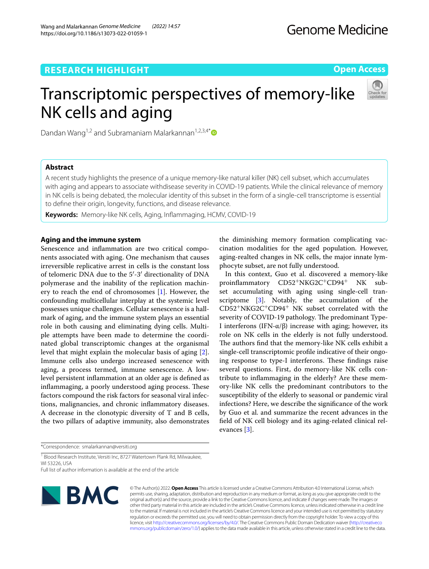# **RESEARCH HIGHLIGHT**

https://doi.org/10.1186/s13073-022-01059-1

Wang and Malarkannan *Genome Medicine (2022) 14:57* 

**Open Access**

# Transcriptomic perspectives of memory-like NK cells and aging



# **Abstract**

A recent study highlights the presence of a unique memory-like natural killer (NK) cell subset, which accumulates with aging and appears to associate withdisease severity in COVID-19 patients. While the clinical relevance of memory in NK cells is being debated, the molecular identity of this subset in the form of a single-cell transcriptome is essential to defne their origin, longevity, functions, and disease relevance.

**Keywords:** Memory-like NK cells, Aging, Infammaging, HCMV, COVID-19

# **Aging and the immune system**

Senescence and infammation are two critical components associated with aging. One mechanism that causes irreversible replicative arrest in cells is the constant loss of telomeric DNA due to the 5′-3′ directionality of DNA polymerase and the inability of the replication machinery to reach the end of chromosomes [[1\]](#page-2-0). However, the confounding multicellular interplay at the systemic level possesses unique challenges. Cellular senescence is a hallmark of aging, and the immune system plays an essential role in both causing and eliminating dying cells. Multiple attempts have been made to determine the coordinated global transcriptomic changes at the organismal level that might explain the molecular basis of aging [\[2](#page-2-1)]. Immune cells also undergo increased senescence with aging, a process termed, immune senescence. A lowlevel persistent infammation at an older age is defned as inflammaging, a poorly understood aging process. These factors compound the risk factors for seasonal viral infections, malignancies, and chronic infammatory diseases. A decrease in the clonotypic diversity of T and B cells, the two pillars of adaptive immunity, also demonstrates

the diminishing memory formation complicating vaccination modalities for the aged population. However, aging-realted changes in NK cells, the major innate lymphocyte subset, are not fully understood.

In this context, Guo et al. discovered a memory-like proinflammatory  $CD52^+$ NKG2C<sup>+</sup>CD94<sup>+</sup> NK subset accumulating with aging using single-cell transcriptome [\[3](#page-2-2)]. Notably, the accumulation of the  $CD52^{+}$ NKG2C<sup>+</sup>CD94<sup>+</sup> NK subset correlated with the severity of COVID-19 pathology. The predominant Type-I interferons (IFN-α/β) increase with aging; however, its role on NK cells in the elderly is not fully understood. The authors find that the memory-like NK cells exhibit a single-cell transcriptomic profle indicative of their ongoing response to type-I interferons. These findings raise several questions. First, do memory-like NK cells contribute to infammaging in the elderly? Are these memory-like NK cells the predominant contributors to the susceptibility of the elderly to seasonal or pandemic viral infections? Here, we describe the signifcance of the work by Guo et al. and summarize the recent advances in the feld of NK cell biology and its aging-related clinical relevances [\[3](#page-2-2)].

Full list of author information is available at the end of the article



© The Author(s) 2022. **Open Access** This article is licensed under a Creative Commons Attribution 4.0 International License, which permits use, sharing, adaptation, distribution and reproduction in any medium or format, as long as you give appropriate credit to the original author(s) and the source, provide a link to the Creative Commons licence, and indicate if changes were made. The images or other third party material in this article are included in the article's Creative Commons licence, unless indicated otherwise in a credit line to the material. If material is not included in the article's Creative Commons licence and your intended use is not permitted by statutory regulation or exceeds the permitted use, you will need to obtain permission directly from the copyright holder. To view a copy of this licence, visit [http://creativecommons.org/licenses/by/4.0/.](http://creativecommons.org/licenses/by/4.0/) The Creative Commons Public Domain Dedication waiver ([http://creativeco](http://creativecommons.org/publicdomain/zero/1.0/) [mmons.org/publicdomain/zero/1.0/](http://creativecommons.org/publicdomain/zero/1.0/)) applies to the data made available in this article, unless otherwise stated in a credit line to the data.

<sup>\*</sup>Correspondence: smalarkannan@versiti.org

<sup>&</sup>lt;sup>1</sup> Blood Research Institute, Versiti Inc, 8727 Watertown Plank Rd, Milwaukee, WI 53226, USA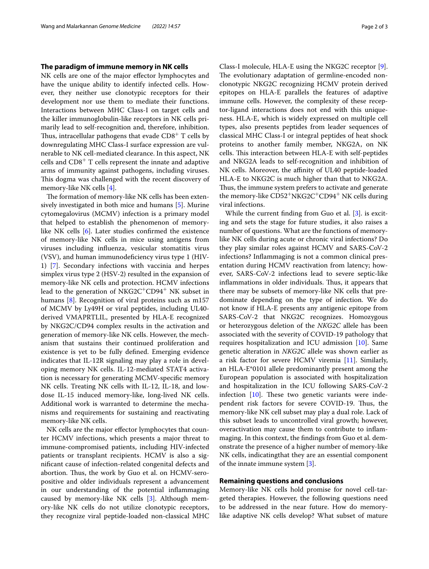# **The paradigm of immune memory in NK cells**

NK cells are one of the major efector lymphocytes and have the unique ability to identify infected cells. However, they neither use clonotypic receptors for their development nor use them to mediate their functions. Interactions between MHC Class-I on target cells and the killer immunoglobulin-like receptors in NK cells primarily lead to self-recognition and, therefore, inhibition. Thus, intracellular pathogens that evade  $CD8<sup>+</sup>$  T cells by downregulating MHC Class-I surface expression are vulnerable to NK cell-mediated clearance. In this aspect, NK cells and  $CDS<sup>+</sup>$  T cells represent the innate and adaptive arms of immunity against pathogens, including viruses. This dogma was challenged with the recent discovery of memory-like NK cells [\[4](#page-2-3)].

The formation of memory-like NK cells has been extensively investigated in both mice and humans [[5](#page-2-4)]. Murine cytomegalovirus (MCMV) infection is a primary model that helped to establish the phenomenon of memorylike NK cells [[6\]](#page-2-5). Later studies confrmed the existence of memory-like NK cells in mice using antigens from viruses including infuenza, vesicular stomatitis virus (VSV), and human immunodefciency virus type 1 (HIV-1) [[7\]](#page-2-6). Secondary infections with vaccinia and herpes simplex virus type 2 (HSV-2) resulted in the expansion of memory-like NK cells and protection. HCMV infections lead to the generation of NKG2C<sup>+</sup>CD94<sup>+</sup> NK subset in humans [[8\]](#page-2-7). Recognition of viral proteins such as m157 of MCMV by Ly49H or viral peptides, including UL40 derived VMAPRTLIL, presented by HLA-E recognized by NKG2C/CD94 complex results in the activation and generation of memory-like NK cells. However, the mechanism that sustains their continued proliferation and existence is yet to be fully defned. Emerging evidence indicates that IL-12R signaling may play a role in developing memory NK cells. IL-12-mediated STAT4 activation is necessary for generating MCMV-specifc memory NK cells. Treating NK cells with IL-12, IL-18, and lowdose IL-15 induced memory-like, long-lived NK cells. Additional work is warranted to determine the mechanisms and requirements for sustaining and reactivating memory-like NK cells.

NK cells are the major efector lymphocytes that counter HCMV infections, which presents a major threat to immune-compromised patients, including HIV-infected patients or transplant recipients. HCMV is also a signifcant cause of infection-related congenital defects and abortion. Thus, the work by Guo et al. on HCMV-seropositive and older individuals represent a advancement in our understanding of the potential infammaging caused by memory-like NK cells [\[3\]](#page-2-2). Although memory-like NK cells do not utilize clonotypic receptors, they recognize viral peptide-loaded non-classical MHC

Class-I molecule, HLA-E using the NKG2C receptor [\[9](#page-2-8)]. The evolutionary adaptation of germline-encoded nonclonotypic NKG2C recognizing HCMV protein derived epitopes on HLA-E parallels the features of adaptive immune cells. However, the complexity of these receptor-ligand interactions does not end with this uniqueness. HLA-E, which is widely expressed on multiple cell types, also presents peptides from leader sequences of classical MHC Class-I or integral peptides of heat shock proteins to another family member, NKG2A, on NK cells. This interaction between HLA-E with self-peptides and NKG2A leads to self-recognition and inhibition of NK cells. Moreover, the affinity of UL40 peptide-loaded HLA-E to NKG2C is much higher than that to NKG2A. Thus, the immune system prefers to activate and generate the memory-like CD52<sup>+</sup>NKG2C<sup>+</sup>CD94<sup>+</sup> NK cells during viral infections.

While the current fnding from Guo et al. [[3\]](#page-2-2). is exciting and sets the stage for future studies, it also raises a number of questions. What are the functions of memorylike NK cells during acute or chronic viral infections? Do they play similar roles against HCMV and SARS-CoV-2 infections? Infammaging is not a common clinical presentation during HCMV reactivation from latency; however, SARS-CoV-2 infections lead to severe septic-like inflammations in older individuals. Thus, it appears that there may be subsets of memory-like NK cells that predominate depending on the type of infection. We do not know if HLA-E presents any antigenic epitope from SARS-CoV-2 that NKG2C recognizes. Homozygous or heterozygous deletion of the *NKG2C* allele has been associated with the severity of COVID-19 pathology that requires hospitalization and ICU admission [[10\]](#page-2-9). Same genetic alteration in *NKG2C* allele was shown earlier as a risk factor for severe HCMV viremia [[11\]](#page-2-10). Similarly, an HLA-E\*0101 allele predominantly present among the European population is associated with hospitalization and hospitalization in the ICU following SARS-CoV-2 infection  $[10]$  $[10]$ . These two genetic variants were independent risk factors for severe COVID-19. Tus, the memory-like NK cell subset may play a dual role. Lack of this subset leads to uncontrolled viral growth; however, overactivation may cause them to contribute to infammaging. In this context, the fndings from Guo et al. demonstrate the presence of a higher number of memory-like NK cells, indicatingthat they are an essential component of the innate immune system [\[3](#page-2-2)].

# **Remaining questions and conclusions**

Memory-like NK cells hold promise for novel cell-targeted therapies. However, the following questions need to be addressed in the near future. How do memorylike adaptive NK cells develop? What subset of mature